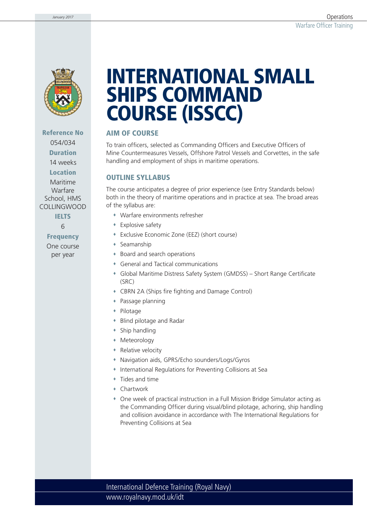

**Reference No**  054/034 **Duration**

14 weeks **Location**

Maritime Warfare School, HMS COLLINGWOOD

**IELTS**

6

**Frequency**

One course per year

# **INTERNATIONAL SMALL SHIPS COMMAND COURSE (ISSCC)**

#### **AIM OF COURSE**

To train officers, selected as Commanding Officers and Executive Officers of Mine Countermeasures Vessels, Offshore Patrol Vessels and Corvettes, in the safe handling and employment of ships in maritime operations.

#### **OUTLINE SYLLABUS**

The course anticipates a degree of prior experience (see Entry Standards below) both in the theory of maritime operations and in practice at sea. The broad areas of the syllabus are:

- Warfare environments refresher
- Explosive safety
- Exclusive Economic Zone (EEZ) (short course)
- Seamanship
- Board and search operations
- General and Tactical communications
- Global Maritime Distress Safety System (GMDSS) Short Range Certificate (SRC)
- CBRN 2A (Ships fire fighting and Damage Control)
- Passage planning
- Pilotage
- Blind pilotage and Radar
- Ship handling
- Meteorology
- Relative velocity
- Navigation aids, GPRS/Echo sounders/Logs/Gyros
- International Regulations for Preventing Collisions at Sea
- Tides and time
- Chartwork
- One week of practical instruction in a Full Mission Bridge Simulator acting as the Commanding Officer during visual/blind pilotage, achoring, ship handling and collision avoidance in accordance with The International Regulations for Preventing Collisions at Sea